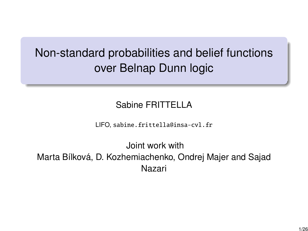# Non-standard probabilities and belief functions over Belnap Dunn logic

#### Sabine FRITTELLA

LIFO, sabine.frittella@insa-cvl.fr

Joint work with Marta Bílková, D. Kozhemiachenko, Ondrej Majer and Sajad Nazari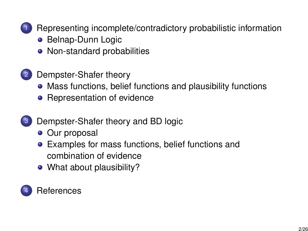

1 [Representing incomplete/contradictory probabilistic information](#page-2-0)

- **[Belnap-Dunn Logic](#page-2-0)**
- [Non-standard probabilities](#page-4-0)
- 2 [Dempster-Shafer theory](#page-7-0)
	- [Mass functions, belief functions and plausibility functions](#page-8-0)
	- [Representation of evidence](#page-10-0)
- 3 [Dempster-Shafer theory and BD logic](#page-15-0)
	- [Our proposal](#page-16-0)
	- [Examples for mass functions, belief functions and](#page-18-0) [combination of evidence](#page-18-0)
	- [What about plausibility?](#page-21-0)

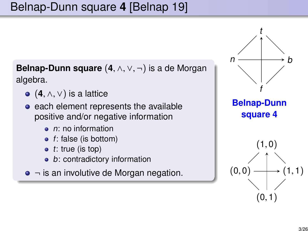# <span id="page-2-0"></span>Belnap-Dunn square **4** [Belnap 19]

**Belnap-Dunn square** (**4**, <sup>∧</sup>, <sup>∨</sup>, <sup>¬</sup>) is a de Morgan algebra.

- (**4**, <sup>∧</sup>, <sup>∨</sup>) is a lattice
- each element represents the available positive and/or negative information
	- $\bullet$  n: no information
	- f: false (is bottom)
	- $\bullet$  t: true (is top)
	- b: contradictory information
- $\bullet$   $\neg$  is an involutive de Morgan negation.

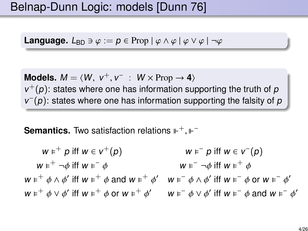# Belnap-Dunn Logic: models [Dunn 76]

**Language.**  $L_{BD} \ni \varphi := p \in \text{Prop} | \varphi \wedge \varphi | \varphi \vee \varphi | \neg \varphi$ 

**Models.**  $M = \langle W, v^+, v^- : W \times \text{Prop} \rightarrow 4 \rangle$ <br> $v^+(v)$ : states where one has information sur  $v^+(p)$ : states where one has information supporting the truth of p  $v^-(p)$ : states where one has information supporting the falsity of p

**Semantics.** Two satisfaction relations ⊩<sup>+</sup>, ⊩<sup>-</sup>

$$
w \varepsilon^{+} p \text{ iff } w \in v^{+}(p) \qquad w \varepsilon^{-} p \text{ iff } w \in v^{-}(p)
$$
\n
$$
w \varepsilon^{+} \neg \phi \text{ iff } w \varepsilon^{-} \phi \qquad w \varepsilon^{-} \neg \phi \text{ iff } w \varepsilon^{+} \phi
$$
\n
$$
w \varepsilon^{+} \phi \wedge \phi' \text{ iff } w \varepsilon^{+} \phi \text{ and } w \varepsilon^{+} \phi' \qquad w \varepsilon^{-} \phi \wedge \phi' \text{ iff } w \varepsilon^{-} \phi \text{ or } w \varepsilon^{-} \phi'
$$
\n
$$
w \varepsilon^{+} \phi \vee \phi' \text{ iff } w \varepsilon^{+} \phi \text{ or } w \varepsilon^{+} \phi' \qquad w \varepsilon^{-} \phi \vee \phi' \text{ iff } w \varepsilon^{-} \phi \text{ and } w \varepsilon^{-} \phi'
$$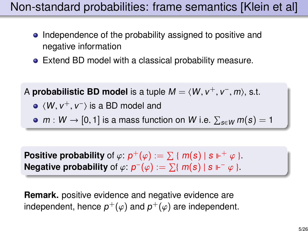# <span id="page-4-0"></span>Non-standard probabilities: frame semantics [Klein et al]

- Independence of the probability assigned to positive and negative information
- Extend BD model with a classical probability measure.

A **probabilistic BD model** is a tuple  $M = \langle W, v^+, v^-, m \rangle$ , s.t.

- $\langle W, v^+, v^-\rangle$  is a BD model and
- $m:W\to [0,1]$  is a mass function on W i.e.  $\sum_{s\in W} m(s) = 1$

**Positive probability** of  $\varphi$ :  $p^+(\varphi) := \sum {\{m(s) | s \Vdash^+ \varphi \}}$ .<br>Negative probability of  $\varphi$ :  $p^-(\varphi) := \sum {\{m(s) | s \Vdash^- \varphi \}}$ . **Negative probability** of  $\varphi$ :  $p^{-}(\varphi) := \sum \{ m(s) | s \Vdash^{-} \varphi \}$ .

**Remark.** positive evidence and negative evidence are independent, hence  $p^+(\varphi)$  and  $p^+(\varphi)$  are independent.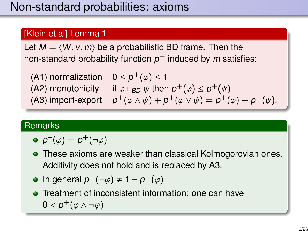#### [Klein et al] Lemma 1

Let  $M = \langle W, v, m \rangle$  be a probabilistic BD frame. Then the non-standard probability function  $\rho^+$  induced by  $m$  satisfies:

(A1) normalization  $0 \le p^+(\varphi) \le 1$ <br>(A2) monotonicity if  $\varphi$  ban  $\psi$  then (A2) monotonicity if  $\varphi \vdash_{BD} \psi$  then  $p^+(\varphi) \leq p^+(\psi)$ <br>(A3) import-export  $p^+(\varphi \wedge \psi) + p^+(\varphi \vee \psi) = p^+(\psi)$ (A3) import-export  $p^+(\varphi \wedge \psi) + p^+(\varphi \vee \psi) = p^+(\varphi) + p^+(\psi)$ .

#### **Remarks**

- $p^-(\varphi)=p^+(\neg\varphi)$
- These axioms are weaker than classical Kolmogorovian ones. Additivity does not hold and is replaced by A3.
- In general  $p^+(-\varphi) \neq 1 p^+(\varphi)$
- **•** Treatment of inconsistent information: one can have  $0 < p^+(\varphi \wedge \neg \varphi)$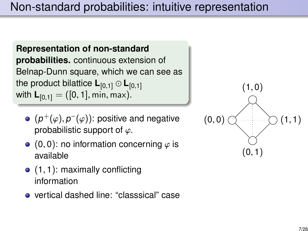**Representation of non-standard probabilities.** continuous extension of Belnap-Dunn square, which we can see as the product bilattice **<sup>L</sup>**[0,1] <sup>⊙</sup> **<sup>L</sup>**[0,1] with  $L_{[0,1]} = ([0,1], \text{min}, \text{max}).$ 

- $(p^{+}(\varphi), p^{-}(\varphi))$ : positive and negative<br>probabilistic support of  $\varphi$ probabilistic support of  $\varphi$ .
- $\bullet$  (0,0): no information concerning  $\varphi$  is available
- $\bullet$  (1, 1): maximally conflicting information
- vertical dashed line: "classsical" case

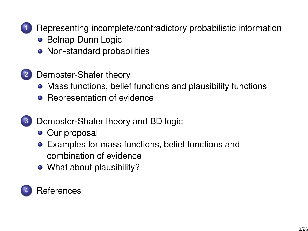<span id="page-7-0"></span>

1 [Representing incomplete/contradictory probabilistic information](#page-2-0)

- **[Belnap-Dunn Logic](#page-2-0)**
- [Non-standard probabilities](#page-4-0)
- 2 [Dempster-Shafer theory](#page-7-0)
	- [Mass functions, belief functions and plausibility functions](#page-8-0)
	- [Representation of evidence](#page-10-0)
- 3 [Dempster-Shafer theory and BD logic](#page-15-0)
	- [Our proposal](#page-16-0)
	- [Examples for mass functions, belief functions and](#page-18-0) [combination of evidence](#page-18-0)
	- [What about plausibility?](#page-21-0)

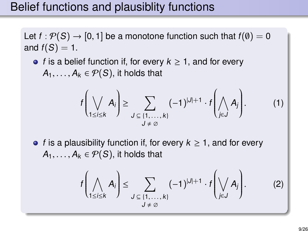# <span id="page-8-0"></span>Belief functions and plausiblity functions

Let  $f : \mathcal{P}(S) \to [0, 1]$  be a monotone function such that  $f(\emptyset) = 0$ and  $f(S) = 1$ .

• f is a belief function if, for every  $k \geq 1$ , and for every  $A_1, \ldots, A_k \in \mathcal{P}(S)$ , it holds that

$$
f\left(\bigvee_{1\leq i\leq k}A_i\right)\geq \sum_{\substack{J\subseteq\{1,\ldots,k\}\\J\neq\emptyset}}(-1)^{|J|+1}\cdot f\left(\bigwedge_{j\in J}A_j\right).
$$
 (1)

• f is a plausibility function if, for every  $k \geq 1$ , and for every  $A_1, \ldots, A_k \in \mathcal{P}(S)$ , it holds that

$$
f\left(\bigwedge_{1\leq i\leq k}A_{i}\right)\leq \sum_{\substack{J\subseteq\{1,\ldots,k\}\\J\neq\emptyset}}(-1)^{|J|+1}\cdot f\left(\bigvee_{j\in J}A_{j}\right).
$$
 (2)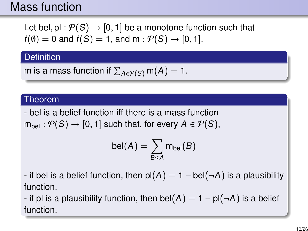### Mass function

Let bel, pl :  $P(S) \rightarrow [0, 1]$  be a monotone function such that  $f(\emptyset) = 0$  and  $f(S) = 1$ , and  $m : \mathcal{P}(S) \rightarrow [0, 1]$ .

**Definition** 

m is a mass function if 
$$
\sum_{A \in \mathcal{P}(S)} m(A) = 1
$$
.

#### Theorem

- bel is a belief function iff there is a mass function  $m_{\text{hel}} : \mathcal{P}(S) \rightarrow [0, 1]$  such that, for every  $A \in \mathcal{P}(S)$ ,

$$
\text{bel}(A) = \sum_{B \leq A} m_{\text{bel}}(B)
$$

- if bel is a belief function, then  $p(A) = 1 - bel(\neg A)$  is a plausibility function.

- if pl is a plausibility function, then bel(A) =  $1 - pl(\neg A)$  is a belief function.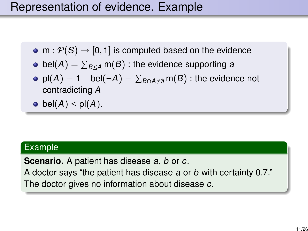# <span id="page-10-0"></span>Representation of evidence. Example

- m :  $P(S) \rightarrow [0, 1]$  is computed based on the evidence
- bel $(\mathcal{A}) = \sum_{B \leq \mathcal{A}} \mathsf{m}(B)$  : the evidence supporting  $\mathcal{A}$
- $\mathsf{pl}( \mathsf{A}) = 1-\mathsf{bel}(\neg \mathsf{A}) = \sum_{B \cap A \neq \emptyset} \mathsf{m}(B)$  : the evidence not contradicting A

• 
$$
\text{bel}(A) \leq \text{pl}(A).
$$

#### Example

**Scenario.** A patient has disease a, b or c. A doctor says "the patient has disease <sup>a</sup> or <sup>b</sup> with certainty 0.7." The doctor gives no information about disease c.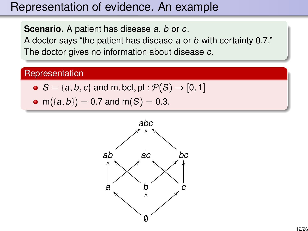## Representation of evidence. An example

**Scenario.** A patient has disease a, b or c.

A doctor says "the patient has disease <sup>a</sup> or <sup>b</sup> with certainty 0.7." The doctor gives no information about disease c.

#### **Representation**

- $\bullet$   $S = \{a, b, c\}$  and m, bel, pl :  $\mathcal{P}(S) \rightarrow [0, 1]$
- $m({a, b}) = 0.7$  and  $m(S) = 0.3$ .

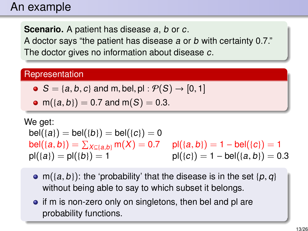### An example

**Scenario.** A patient has disease a, b or c.

A doctor says "the patient has disease <sup>a</sup> or <sup>b</sup> with certainty 0.7." The doctor gives no information about disease c.

#### **Representation**

- $\bullet S = \{a, b, c\}$  and m, bel, pl :  $\mathcal{P}(S) \rightarrow [0, 1]$
- $m({a,b}) = 0.7$  and  $m(S) = 0.3$ .

We get:  $bel({a}) = bel({b}) = bel({c}) = 0$ bel({a, b}) =  $\sum_{X \subseteq \{a,b\}} m(X) = 0.7$  pl({a, b}) = 1 – bel({c}) = 1<br>pl((a) – pl((b) – 1  $p|({a}) = p|({b}) = 1$   $p|({c}) = 1 - bel({a}, b) = 0.3$ 

- m({a, b}): the 'probability' that the disease is in the set { $p, q$ } without being able to say to which subset it belongs.
- **•** if m is non-zero only on singletons, then bel and pl are probability functions.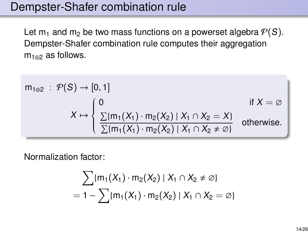### Dempster-Shafer combination rule

Let  $m_1$  and  $m_2$  be two mass functions on a powerset algebra  $P(S)$ . Dempster-Shafer combination rule computes their aggregation m<sub>1⊕2</sub> as follows.

$$
m_{1\oplus 2} : \mathcal{P}(S) \to [0, 1]
$$
  
\n
$$
X \mapsto \begin{cases} 0 & \text{if } X = \emptyset \\ \frac{\sum \{m_1(X_1) \cdot m_2(X_2) \mid X_1 \cap X_2 = X\}}{\sum \{m_1(X_1) \cdot m_2(X_2) \mid X_1 \cap X_2 \neq \emptyset\}} & \text{otherwise.} \end{cases}
$$

Normalization factor:

$$
\sum \{m_1(X_1) \cdot m_2(X_2) | X_1 \cap X_2 \neq \emptyset\}
$$
  
= 1 - 
$$
\sum \{m_1(X_1) \cdot m_2(X_2) | X_1 \cap X_2 = \emptyset\}
$$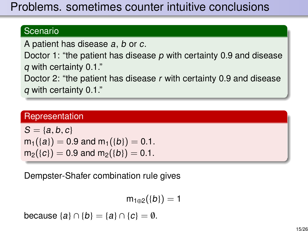# Problems. sometimes counter intuitive conclusions

#### Scenario

A patient has disease a, b or c.

Doctor 1: "the patient has disease p with certainty 0.9 and disease <sup>q</sup> with certainty 0.1."

Doctor 2: "the patient has disease <sup>r</sup> with certainty 0.9 and disease <sup>q</sup> with certainty 0.1."

#### **Representation**

$$
S = \{a, b, c\}
$$
  
m<sub>1</sub>( $\{a\}$ ) = 0.9 and m<sub>1</sub>( $\{b\}$ ) = 0.1.  
m<sub>2</sub>( $\{c\}$ ) = 0.9 and m<sub>2</sub>( $\{b\}$ ) = 0.1.

Dempster-Shafer combination rule gives

$$
m_{1\oplus 2}(\{b\})=1
$$

because  $\{a\} \cap \{b\} = \{a\} \cap \{c\} = \emptyset$ .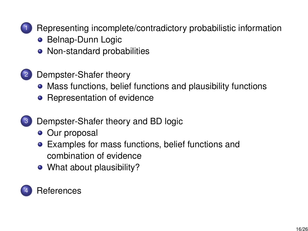<span id="page-15-0"></span>

1 [Representing incomplete/contradictory probabilistic information](#page-2-0)

- **[Belnap-Dunn Logic](#page-2-0)**
- [Non-standard probabilities](#page-4-0)
- 2 [Dempster-Shafer theory](#page-7-0)
	- [Mass functions, belief functions and plausibility functions](#page-8-0)
	- [Representation of evidence](#page-10-0)
- 3 [Dempster-Shafer theory and BD logic](#page-15-0)
	- [Our proposal](#page-16-0)
	- [Examples for mass functions, belief functions and](#page-18-0) [combination of evidence](#page-18-0)
	- [What about plausibility?](#page-21-0)

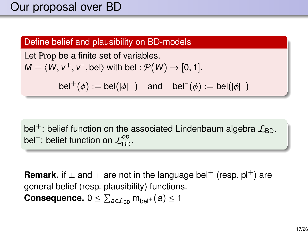### <span id="page-16-0"></span>Our proposal over BD

#### Define belief and plausibility on BD-models

Let Prop be a finite set of variables.  $M = \langle W, v^+, v^-, \text{bel} \rangle$  with bel :  $\mathcal{P}(W) \rightarrow [0, 1].$ 

bel<sup>+</sup>( $\phi$ ) := bel( $|\phi|$ <sup>+</sup>) and bel<sup>-</sup>( $\phi$ ) := bel( $|\phi|$ <sup>-</sup>)

bel<sup>+</sup>: belief function on the associated Lindenbaum algebra  $\mathcal{L}_{BD}$ . bel $^{\text{-}}$ : belief function on  $\mathcal{L}_{\text{BD}}^{op}.$ 

**Remark.** if  $\perp$  and  $\top$  are not in the language bel<sup>+</sup> (resp. pl<sup>+</sup>) are general belief (resp. plausibility) functions.  $\textbf{Consequence. } 0 \leq \sum_{a \in \mathcal{L}_{\mathsf{BD}}} \mathsf{m}_{\mathsf{bel}^+}(a) \leq 1$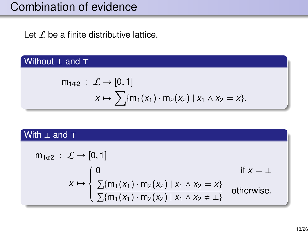# Combination of evidence

Let  $\mathcal L$  be a finite distributive lattice.

#### Without ⊥ and ⊤

$$
m_{1\oplus 2} : \mathcal{L} \to [0, 1] x \mapsto \sum \{m_1(x_1) \cdot m_2(x_2) \mid x_1 \wedge x_2 = x\}.
$$

#### With ⊥ and ⊤

$$
m_{1\oplus 2} : \mathcal{L} \to [0, 1]
$$
  
\n
$$
x \mapsto \begin{cases} 0 & \text{if } x = \bot \\ \frac{\sum \{m_1(x_1) \cdot m_2(x_2) \mid x_1 \wedge x_2 = x\}}{\sum \{m_1(x_1) \cdot m_2(x_2) \mid x_1 \wedge x_2 \neq \bot\}} & \text{otherwise.} \end{cases}
$$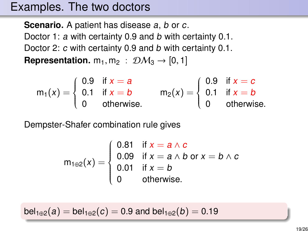### <span id="page-18-0"></span>Examples. The two doctors

**Scenario.** A patient has disease a, b or c. Doctor 1: a with certainty 0.9 and b with certainty 0.1. Doctor 2: c with certainty 0.9 and b with certainty 0.1. **Representation.**  $m_1, m_2$  :  $\mathcal{D}M_3 \rightarrow [0, 1]$ 

$$
m_1(x) = \begin{cases} 0.9 & \text{if } x = a \\ 0.1 & \text{if } x = b \\ 0 & \text{otherwise.} \end{cases} \qquad m_2(x) = \begin{cases} 0.9 & \text{if } x = c \\ 0.1 & \text{if } x = b \\ 0 & \text{otherwise.} \end{cases}
$$

Dempster-Shafer combination rule gives

$$
m_{1\oplus 2}(x) = \begin{cases} 0.81 & \text{if } x = a \wedge c \\ 0.09 & \text{if } x = a \wedge b \text{ or } x = b \wedge c \\ 0.01 & \text{if } x = b \\ 0 & \text{otherwise.} \end{cases}
$$

 $bel_{1\oplus 2}(a) = bel_{1\oplus 2}(c) = 0.9$  and  $bel_{1\oplus 2}(b) = 0.19$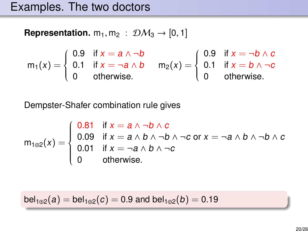**Representation.**  $m_1, m_2$  :  $\mathcal{DM}_3 \rightarrow [0, 1]$ 

$$
m_1(x) = \begin{cases} 0.9 & \text{if } x = a \wedge \neg b \\ 0.1 & \text{if } x = \neg a \wedge b \\ 0 & \text{otherwise.} \end{cases} \quad m_2(x) = \begin{cases} 0.9 & \text{if } x = \neg b \wedge c \\ 0.1 & \text{if } x = b \wedge \neg c \\ 0 & \text{otherwise.} \end{cases}
$$

Dempster-Shafer combination rule gives

$$
m_{1\oplus 2}(x) = \begin{cases} 0.81 & \text{if } x = a \land \neg b \land c \\ 0.09 & \text{if } x = a \land b \land \neg b \land \neg c \text{ or } x = \neg a \land b \land \neg b \land c \\ 0.01 & \text{if } x = \neg a \land b \land \neg c \\ 0 & \text{otherwise.} \end{cases}
$$

 $bel_{1\oplus 2}(a) = bel_{1\oplus 2}(c) = 0.9$  and  $bel_{1\oplus 2}(b) = 0.19$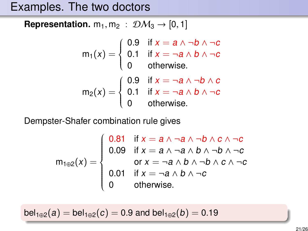## Examples. The two doctors

**Representation.**  $m_1, m_2$  :  $\mathcal{D}\mathcal{M}_3 \rightarrow [0, 1]$ 

$$
m_1(x) = \begin{cases} 0.9 & \text{if } x = a \land \neg b \land \neg c \\ 0.1 & \text{if } x = \neg a \land b \land \neg c \\ 0 & \text{otherwise.} \end{cases}
$$

$$
m_2(x) = \begin{cases} 0.9 & \text{if } x = \neg a \land \neg b \land c \\ 0.1 & \text{if } x = \neg a \land b \land \neg c \\ 0 & \text{otherwise.} \end{cases}
$$

Dempster-Shafer combination rule gives

$$
m_{1\oplus 2}(x) = \begin{cases} 0.81 & \text{if } x = a \land \neg a \land \neg b \land c \land \neg c \\ 0.09 & \text{if } x = a \land \neg a \land b \land \neg b \land \neg c \\ & \text{or } x = \neg a \land b \land \neg b \land c \land \neg c \\ 0.01 & \text{if } x = \neg a \land b \land \neg c \\ 0 & \text{otherwise.} \end{cases}
$$

 $bel_{1\oplus 2}(a) = bel_{1\oplus 2}(c) = 0.9$  and  $bel_{1\oplus 2}(b) = 0.19$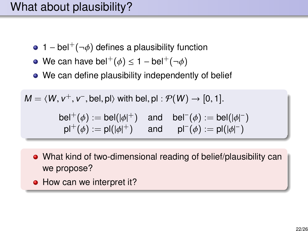# <span id="page-21-0"></span>What about plausibility?

- 1 bel<sup>+</sup>( $\neg \phi$ ) defines a plausibility function
- We can have bel<sup>+</sup> $(\phi) \le 1 \text{bel}^+(\neg \phi)$
- We can define plausibility independently of belief

 $M = \langle W, v^+, v^-, \text{bel}, \text{pl} \rangle$  with bel,  $\text{pl} : \mathcal{P}(W) \to [0, 1].$ 

bel<sup>+</sup>( $\phi$ ) := bel( $|\phi|$ <sup>+</sup>) and bel<sup>-</sup>( $\phi$ ) := bel( $|\phi|$ <sup>-</sup>)<br>pl<sup>+</sup>( $\phi$ ) := pl( $|\phi|$ <sup>+</sup>) and pl<sup>-</sup>( $\phi$ ) := pl( $|\phi|$ <sup>-</sup>)  $pl^+(\phi) := pl(|\phi|^+)$  and  $pl^-(\phi) := pl(|\phi|^-)$ 

- What kind of two-dimensional reading of belief/plausibility can we propose?
- How can we interpret it?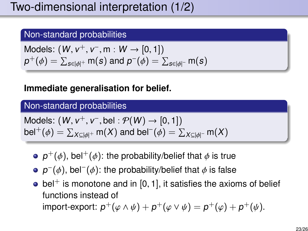#### Non-standard probabilities

Models: 
$$
(W, v^+, v^-, m : W \rightarrow [0, 1])
$$
  
 $p^+(\phi) = \sum_{s \in |\phi|^+} m(s)$  and  $p^-(\phi) = \sum_{s \in |\phi|^-} m(s)$ 

#### **Immediate generalisation for belief.**

#### Non-standard probabilities

Models: 
$$
(W, v^+, v^-, \text{bel}: \mathcal{P}(W) \to [0, 1])
$$
  
bel<sup>+</sup> $(\phi) = \sum_{X \subseteq |\phi|^+} m(X)$  and bel<sup>-</sup> $(\phi) = \sum_{X \subseteq |\phi|^-} m(X)$ 

- $p^{+}(\phi)$ , bel<sup>+</sup>( $\phi$ ): the probability/belief that  $\phi$  is true
- $p^-(\phi)$ , bel<sup>-</sup> $(\phi)$ : the probability/belief that  $\phi$  is false
- $\bullet$  bel<sup>+</sup> is monotone and in [0, 1], it satisfies the axioms of belief functions instead of import-export:  $p^+(\varphi \wedge \psi) + p^+(\varphi \vee \psi) = p^+(\varphi) + p^+(\psi)$ .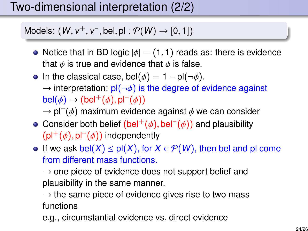# Two-dimensional interpretation (2/2)

# Models:  $(W, v^+, v^-,$  bel, pl  $: \mathcal{P}(W) \rightarrow [0, 1])$

- Notice that in BD logic  $|\phi| = (1, 1)$  reads as: there is evidence that  $\phi$  is true and evidence that  $\phi$  is false.
- In the classical case, bel( $\phi$ ) = 1 pl( $\neg \phi$ ).  $\rightarrow$  interpretation:  $pI(\neg\phi)$  is the degree of evidence against bel $(\phi)$  → (bel<sup>+</sup>( $\phi$ ), pl<sup>−</sup>( $\phi$ ))<br>→ pl<sup>−(</sup> $\phi$ ) maximum eviden
	- $\rightarrow$  pl<sup>-</sup>( $\phi$ ) maximum evidence against  $\phi$  we can consider<br>Consider beth helief (belt(4) hel<sup>-(4)</sup>) and plausibility
- Consider both belief  $(bel^+(\phi), bd^-(\phi))$  and plausibility<br>(pl<sup>+</sup>(δ), pl<sup>−</sup>(δ)) independently  $(pI^{+}(\phi), pI^{-}(\phi))$  independently<br>If we sak bel(X) < pl(X) for Y
- If we ask bel(X)  $\leq$  pl(X), for  $X \in \mathcal{P}(W)$ , then bel and pl come from different mass functions.

 $\rightarrow$  one piece of evidence does not support belief and plausibility in the same manner.

 $\rightarrow$  the same piece of evidence gives rise to two mass functions

e.g., circumstantial evidence vs. direct evidence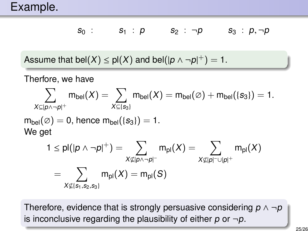$$
s_0: \qquad s_1: p \qquad s_2: \neg p \qquad s_3: p, \neg p
$$

Assume that bel $(X) \leq \text{pl}(X)$  and bel $(|p \land \neg p|^+) = 1$ .

Therfore, we have

$$
\sum_{X \subseteq |p \land \neg p|^+} m_{\text{bel}}(X) = \sum_{X \subseteq \{s_3\}} m_{\text{bel}}(X) = m_{\text{bel}}(\emptyset) + m_{\text{bel}}(\{s_3\}) = 1.
$$
\n
$$
m_{\text{bel}}(\emptyset) = 0, \text{ hence } m_{\text{bel}}(\{s_3\}) = 1.
$$
\n
$$
\text{We get } \qquad 1 < \text{pl}(10 \land \neg p|^{+}) - \sum m_{\text{el}}(X) - \sum m_{\text{el}}(X).
$$

$$
\begin{aligned} 1 &\leq \text{pl}(|p \wedge \neg p|^+) = \sum_{X \nsubseteq |p \wedge \neg p|^-} m_{\text{pl}}(X) = \sum_{X \nsubseteq |p|^{-} \cup |p|^+} m_{\text{pl}}(X) \\ & = \sum_{X \nsubseteq \{s_1, s_2, s_3\}} m_{\text{pl}}(X) = m_{\text{pl}}(S) \end{aligned}
$$

Therefore, evidence that is strongly persuasive considering  $p \wedge \neg p$ is inconclusive regarding the plausibility of either  $p$  or  $\neg p$ .